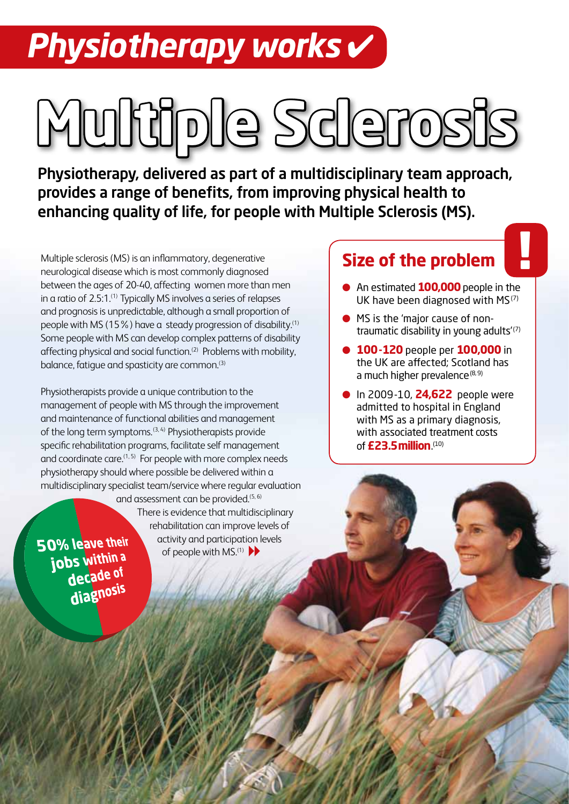# *Physiotherapy works* ✔

# **Multiple Sclerosis**

Physiotherapy, delivered as part of a multidisciplinary team approach, provides a range of benefits, from improving physical health to enhancing quality of life, for people with Multiple Sclerosis (MS).

Multiple sclerosis (MS) is an inflammatory, degenerative neurological disease which is most commonly diagnosed between the ages of 20-40, affecting women more than men in a ratio of 2.5:1.<sup>(1)</sup> Typically MS involves a series of relapses and prognosis is unpredictable, although a small proportion of people with MS (15%) have a steady progression of disability.(1) Some people with MS can develop complex patterns of disability affecting physical and social function.<sup>(2)</sup> Problems with mobility, balance, fatigue and spasticity are common.(3)

Physiotherapists provide a unique contribution to the management of people with MS through the improvement and maintenance of functional abilities and management of the long term symptoms.<sup>(3, 4)</sup> Physiotherapists provide specific rehabilitation programs, facilitate self management and coordinate care. $(1, 5)$  For people with more complex needs physiotherapy should where possible be delivered within a multidisciplinary specialist team/service where regular evaluation and assessment can be provided.<sup>(5, 6)</sup>

of people with MS.<sup>(1)</sup>

There is evidence that multidisciplinary rehabilitation can improve levels of activity and participation levels

50% leave their jobs within a decade of diagnosis

### **Size of the problem**

- **An estimated 100,000** people in the UK have been diagnosed with MS<sup>(7)</sup>
- MS is the 'major cause of nontraumatic disability in young adults $(7)$
- **100-120** people per **100,000** in the UK are affected; Scotland has a much higher prevalence $(8,9)$
- In 2009-10, **24,622** people were admitted to hospital in England with MS as a primary diagnosis, with associated treatment costs of**£23.5 million**. (10)